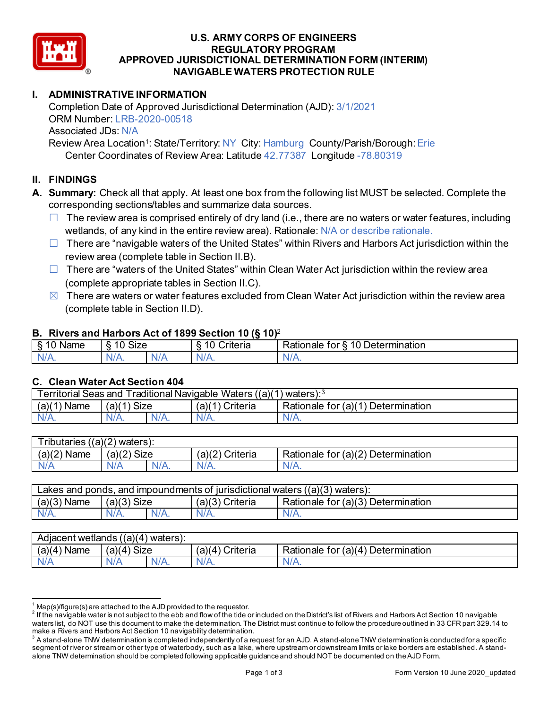

### **U.S. ARMY CORPS OF ENGINEERS REGULATORY PROGRAM APPROVED JURISDICTIONAL DETERMINATION FORM (INTERIM) NAVIGABLE WATERS PROTECTION RULE**

### **I. ADMINISTRATIVE INFORMATION**

Completion Date of Approved Jurisdictional Determination (AJD): 3/1/2021 ORM Number: LRB-2020-00518 Associated JDs: N/A Review Area Location<sup>1</sup>: State/Territory: NY City: Hamburg County/Parish/Borough: Erie

Center Coordinates of Review Area: Latitude 42.77387 Longitude -78.80319

### **II. FINDINGS**

- **A. Summary:** Check all that apply. At least one box from the following list MUST be selected. Complete the corresponding sections/tables and summarize data sources.
	- $\Box$  The review area is comprised entirely of dry land (i.e., there are no waters or water features, including wetlands, of any kind in the entire review area). Rationale: N/A or describe rationale.
	- $\Box$  There are "navigable waters of the United States" within Rivers and Harbors Act jurisdiction within the review area (complete table in Section II.B).
	- $\Box$  There are "waters of the United States" within Clean Water Act jurisdiction within the review area (complete appropriate tables in Section II.C).
	- $\boxtimes$  There are waters or water features excluded from Clean Water Act jurisdiction within the review area (complete table in Section II.D).

#### **B. Rivers and Harbors Act of 1899 Section 10 (§ 10)**<sup>2</sup>

| $\cdot$         |                                    |     |                                          |                                                          |  |
|-----------------|------------------------------------|-----|------------------------------------------|----------------------------------------------------------|--|
| Name<br>-<br>., | $\ddot{\phantom{1}}$<br>10<br>SIZE |     | 10<br>- -<br>r<br>`rıtarın.<br>∼<br>lena | 10<br>-<br>_<br><b>Determination</b><br>ror<br>kationale |  |
| N/f<br>. .      | $N/A$ .                            | xı. | ND<br>.                                  | N<br>11 I N.                                             |  |

#### **C. Clean Water Act Section 404**

| <b>Territorial Seas and</b><br>Traditional Navigable Waters $((a)(1)$ waters): $3$ |                |         |                    |                                         |  |
|------------------------------------------------------------------------------------|----------------|---------|--------------------|-----------------------------------------|--|
| (a)(1)<br>Name                                                                     | Size<br>(a)(1) |         | (a)(1)<br>Criteria | Determination<br>Rationale for $(a)(1)$ |  |
| $N/A$ .                                                                            | $N/A$ .        | $N/A$ . | $N/A$ .            | N/A.                                    |  |

| $T$ ributaries<br>((a)(2)<br>waters). |             |         |                    |                                                         |  |
|---------------------------------------|-------------|---------|--------------------|---------------------------------------------------------|--|
| (a)(2)<br>Name                        | (a)(2) Size |         | (a)(2)<br>Criteria | for (a)(2) $\overline{ }$<br>Determination<br>Rationale |  |
| N/A                                   | A\V         | $N/A$ . | $N/A$ .            | N/A.                                                    |  |

| Lakes and ponds, and impoundments of jurisdictional waters $((a)(3)$ waters): |               |         |                 |                                    |  |
|-------------------------------------------------------------------------------|---------------|---------|-----------------|------------------------------------|--|
| $(a)(3)$ Name                                                                 | $(a)(3)$ Size |         | (a)(3) Criteria | Rationale for (a)(3) Determination |  |
| $N/A$ .                                                                       | $N/A$ .       | $N/A$ . | $N/A$ .         | N/A.                               |  |

| Adjacent wetlands ((a)(4) waters): |                      |         |                                    |                                         |  |  |
|------------------------------------|----------------------|---------|------------------------------------|-----------------------------------------|--|--|
| (a)(4)<br>Name                     | <b>Size</b><br>'a)(4 |         | Criteria<br>(a)(<br>$\overline{4}$ | Determination<br>Rationale for $(a)(4)$ |  |  |
| N/A                                | N/A                  | $N/A$ . | $N/A$ .                            | N/A.                                    |  |  |

 $^1$  Map(s)/figure(s) are attached to the AJD provided to the requestor.<br><sup>2</sup> If the navigable water is not subject to the ebb and flow of the tide or included on the District's list of Rivers and Harbors Act Section 10 na waters list, do NOT use this document to make the determination. The District must continue to follow the procedure outlined in 33 CFR part 329.14 to make a Rivers and Harbors Act Section 10 navigability determination.

 $^3$  A stand-alone TNW determination is completed independently of a request for an AJD. A stand-alone TNW determination is conducted for a specific segment of river or stream or other type of waterbody, such as a lake, where upstream or downstream limits or lake borders are established. A standalone TNW determination should be completed following applicable guidance and should NOT be documented on the AJD Form.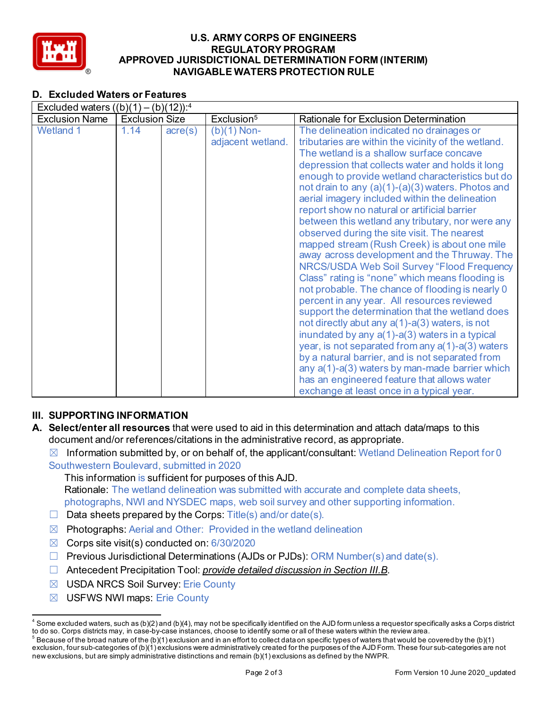

### **U.S. ARMY CORPS OF ENGINEERS REGULATORY PROGRAM APPROVED JURISDICTIONAL DETERMINATION FORM (INTERIM) NAVIGABLE WATERS PROTECTION RULE**

## **D. Excluded Waters or Features**

| Excluded waters $((b)(1) - (b)(12))$ : <sup>4</sup> |                       |                  |                                    |                                                                                                                                                                                                                                                                                                                                                                                                                                                                                                                                                                                                                                                                                                                                                                                                                                                                                                                                                                                                                                                                                                                                                                                                                                         |  |
|-----------------------------------------------------|-----------------------|------------------|------------------------------------|-----------------------------------------------------------------------------------------------------------------------------------------------------------------------------------------------------------------------------------------------------------------------------------------------------------------------------------------------------------------------------------------------------------------------------------------------------------------------------------------------------------------------------------------------------------------------------------------------------------------------------------------------------------------------------------------------------------------------------------------------------------------------------------------------------------------------------------------------------------------------------------------------------------------------------------------------------------------------------------------------------------------------------------------------------------------------------------------------------------------------------------------------------------------------------------------------------------------------------------------|--|
| <b>Exclusion Name</b>                               | <b>Exclusion Size</b> |                  | Exclusion <sup>5</sup>             | Rationale for Exclusion Determination                                                                                                                                                                                                                                                                                                                                                                                                                                                                                                                                                                                                                                                                                                                                                                                                                                                                                                                                                                                                                                                                                                                                                                                                   |  |
| <b>Wetland 1</b>                                    | 1.14                  | $\text{acre}(s)$ | $(b)(1)$ Non-<br>adjacent wetland. | The delineation indicated no drainages or<br>tributaries are within the vicinity of the wetland.<br>The wetland is a shallow surface concave<br>depression that collects water and holds it long<br>enough to provide wetland characteristics but do<br>not drain to any (a)(1)-(a)(3) waters. Photos and<br>aerial imagery included within the delineation<br>report show no natural or artificial barrier<br>between this wetland any tributary, nor were any<br>observed during the site visit. The nearest<br>mapped stream (Rush Creek) is about one mile<br>away across development and the Thruway. The<br>NRCS/USDA Web Soil Survey "Flood Frequency<br>Class" rating is "none" which means flooding is<br>not probable. The chance of flooding is nearly 0<br>percent in any year. All resources reviewed<br>support the determination that the wetland does<br>not directly abut any $a(1)$ -a(3) waters, is not<br>inundated by any a(1)-a(3) waters in a typical<br>year, is not separated from any a(1)-a(3) waters<br>by a natural barrier, and is not separated from<br>any $a(1)$ - $a(3)$ waters by man-made barrier which<br>has an engineered feature that allows water<br>exchange at least once in a typical year. |  |

## **III. SUPPORTING INFORMATION**

 $\boxtimes$  Information submitted by, or on behalf of, the applicant/consultant: Wetland Delineation Report for 0 Southwestern Boulevard, submitted in 2020

This information is sufficient for purposes of this AJD. Rationale: The wetland delineation was submitted with accurate and complete data sheets, photographs, NWI and NYSDEC maps, web soil survey and other supporting information.

- □ Data sheets prepared by the Corps: Title(s) and/or date(s).
- $\boxtimes$  Photographs: Aerial and Other: Provided in the wetland delineation
- $\boxtimes$  Corps site visit(s) conducted on: 6/30/2020
- ☐ Previous Jurisdictional Determinations (AJDs or PJDs): ORM Number(s) and date(s).
- ☐ Antecedent Precipitation Tool: *provide detailed discussion in Section III.B*.
- ☒ USDA NRCS Soil Survey: Erie County
- ☒ USFWS NWI maps: Erie County

**A. Select/enter all resources** that were used to aid in this determination and attach data/maps to this document and/or references/citations in the administrative record, as appropriate.

 $4$  Some excluded waters, such as (b)(2) and (b)(4), may not be specifically identified on the AJD form unless a requestor specifically asks a Corps district to do so. Corps districts may, in case-by-case instances, choose to identify some or all of these waters within the review area.

 $^5$  Because of the broad nature of the (b)(1) exclusion and in an effort to collect data on specific types of waters that would be covered by the (b)(1) exclusion, four sub-categories of (b)(1) exclusions were administratively created for the purposes of the AJD Form. These four sub-categories are not new exclusions, but are simply administrative distinctions and remain (b)(1) exclusions as defined by the NWPR.